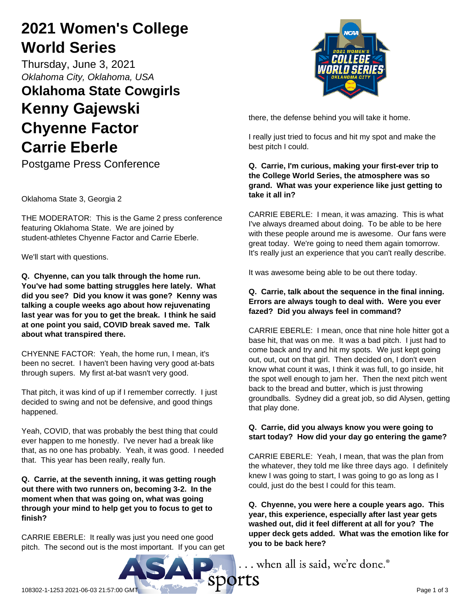# **2021 Women's College World Series**

Thursday, June 3, 2021 *Oklahoma City, Oklahoma, USA*

# **Oklahoma State Cowgirls Kenny Gajewski Chyenne Factor Carrie Eberle**

Postgame Press Conference

Oklahoma State 3, Georgia 2

THE MODERATOR: This is the Game 2 press conference featuring Oklahoma State. We are joined by student-athletes Chyenne Factor and Carrie Eberle.

We'll start with questions.

**Q. Chyenne, can you talk through the home run. You've had some batting struggles here lately. What did you see? Did you know it was gone? Kenny was talking a couple weeks ago about how rejuvenating last year was for you to get the break. I think he said at one point you said, COVID break saved me. Talk about what transpired there.**

CHYENNE FACTOR: Yeah, the home run, I mean, it's been no secret. I haven't been having very good at-bats through supers. My first at-bat wasn't very good.

That pitch, it was kind of up if I remember correctly. I just decided to swing and not be defensive, and good things happened.

Yeah, COVID, that was probably the best thing that could ever happen to me honestly. I've never had a break like that, as no one has probably. Yeah, it was good. I needed that. This year has been really, really fun.

**Q. Carrie, at the seventh inning, it was getting rough out there with two runners on, becoming 3-2. In the moment when that was going on, what was going through your mind to help get you to focus to get to finish?**

CARRIE EBERLE: It really was just you need one good pitch. The second out is the most important. If you can get



there, the defense behind you will take it home.

I really just tried to focus and hit my spot and make the best pitch I could.

## **Q. Carrie, I'm curious, making your first-ever trip to the College World Series, the atmosphere was so grand. What was your experience like just getting to take it all in?**

CARRIE EBERLE: I mean, it was amazing. This is what I've always dreamed about doing. To be able to be here with these people around me is awesome. Our fans were great today. We're going to need them again tomorrow. It's really just an experience that you can't really describe.

It was awesome being able to be out there today.

# **Q. Carrie, talk about the sequence in the final inning. Errors are always tough to deal with. Were you ever fazed? Did you always feel in command?**

CARRIE EBERLE: I mean, once that nine hole hitter got a base hit, that was on me. It was a bad pitch. I just had to come back and try and hit my spots. We just kept going out, out, out on that girl. Then decided on, I don't even know what count it was, I think it was full, to go inside, hit the spot well enough to jam her. Then the next pitch went back to the bread and butter, which is just throwing groundballs. Sydney did a great job, so did Alysen, getting that play done.

# **Q. Carrie, did you always know you were going to start today? How did your day go entering the game?**

CARRIE EBERLE: Yeah, I mean, that was the plan from the whatever, they told me like three days ago. I definitely knew I was going to start, I was going to go as long as I could, just do the best I could for this team.

**Q. Chyenne, you were here a couple years ago. This year, this experience, especially after last year gets washed out, did it feel different at all for you? The upper deck gets added. What was the emotion like for you to be back here?**

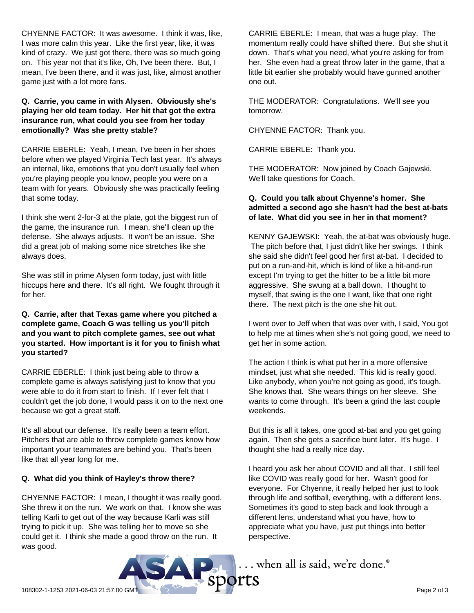CHYENNE FACTOR: It was awesome. I think it was, like, I was more calm this year. Like the first year, like, it was kind of crazy. We just got there, there was so much going on. This year not that it's like, Oh, I've been there. But, I mean, I've been there, and it was just, like, almost another game just with a lot more fans.

## **Q. Carrie, you came in with Alysen. Obviously she's playing her old team today. Her hit that got the extra insurance run, what could you see from her today emotionally? Was she pretty stable?**

CARRIE EBERLE: Yeah, I mean, I've been in her shoes before when we played Virginia Tech last year. It's always an internal, like, emotions that you don't usually feel when you're playing people you know, people you were on a team with for years. Obviously she was practically feeling that some today.

I think she went 2-for-3 at the plate, got the biggest run of the game, the insurance run. I mean, she'll clean up the defense. She always adjusts. It won't be an issue. She did a great job of making some nice stretches like she always does.

She was still in prime Alysen form today, just with little hiccups here and there. It's all right. We fought through it for her.

#### **Q. Carrie, after that Texas game where you pitched a complete game, Coach G was telling us you'll pitch and you want to pitch complete games, see out what you started. How important is it for you to finish what you started?**

CARRIE EBERLE: I think just being able to throw a complete game is always satisfying just to know that you were able to do it from start to finish. If I ever felt that I couldn't get the job done, I would pass it on to the next one because we got a great staff.

It's all about our defense. It's really been a team effort. Pitchers that are able to throw complete games know how important your teammates are behind you. That's been like that all year long for me.

## **Q. What did you think of Hayley's throw there?**

CHYENNE FACTOR: I mean, I thought it was really good. She threw it on the run. We work on that. I know she was telling Karli to get out of the way because Karli was still trying to pick it up. She was telling her to move so she could get it. I think she made a good throw on the run. It was good.

CARRIE EBERLE: I mean, that was a huge play. The momentum really could have shifted there. But she shut it down. That's what you need, what you're asking for from her. She even had a great throw later in the game, that a little bit earlier she probably would have gunned another one out.

THE MODERATOR: Congratulations. We'll see you tomorrow.

CHYENNE FACTOR: Thank you.

CARRIE EBERLE: Thank you.

THE MODERATOR: Now joined by Coach Gajewski. We'll take questions for Coach.

# **Q. Could you talk about Chyenne's homer. She admitted a second ago she hasn't had the best at-bats of late. What did you see in her in that moment?**

KENNY GAJEWSKI: Yeah, the at-bat was obviously huge. The pitch before that, I just didn't like her swings. I think she said she didn't feel good her first at-bat. I decided to put on a run-and-hit, which is kind of like a hit-and-run except I'm trying to get the hitter to be a little bit more aggressive. She swung at a ball down. I thought to myself, that swing is the one I want, like that one right there. The next pitch is the one she hit out.

I went over to Jeff when that was over with, I said, You got to help me at times when she's not going good, we need to get her in some action.

The action I think is what put her in a more offensive mindset, just what she needed. This kid is really good. Like anybody, when you're not going as good, it's tough. She knows that. She wears things on her sleeve. She wants to come through. It's been a grind the last couple weekends.

But this is all it takes, one good at-bat and you get going again. Then she gets a sacrifice bunt later. It's huge. I thought she had a really nice day.

I heard you ask her about COVID and all that. I still feel like COVID was really good for her. Wasn't good for everyone. For Chyenne, it really helped her just to look through life and softball, everything, with a different lens. Sometimes it's good to step back and look through a different lens, understand what you have, how to appreciate what you have, just put things into better perspective.

108302-1-1253 2021-06-03 21:57:00 GMT Page 2 of 3